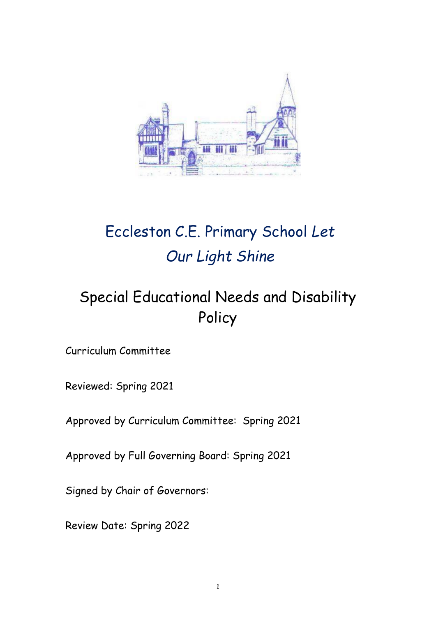

# Eccleston C.E. Primary School *Let Our Light Shine*

## Special Educational Needs and Disability Policy

Curriculum Committee

Reviewed: Spring 2021

Approved by Curriculum Committee: Spring 2021

Approved by Full Governing Board: Spring 2021

Signed by Chair of Governors:

Review Date: Spring 2022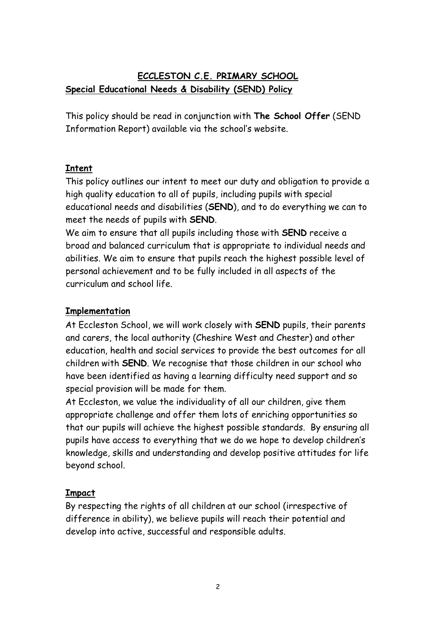## **ECCLESTON C.E. PRIMARY SCHOOL Special Educational Needs & Disability (SEND) Policy**

This policy should be read in conjunction with **The School Offer** (SEND Information Report) available via the school's website.

## **Intent**

This policy outlines our intent to meet our duty and obligation to provide a high quality education to all of pupils, including pupils with special educational needs and disabilities (**SEND**), and to do everything we can to meet the needs of pupils with **SEND**.

We aim to ensure that all pupils including those with **SEND** receive a broad and balanced curriculum that is appropriate to individual needs and abilities. We aim to ensure that pupils reach the highest possible level of personal achievement and to be fully included in all aspects of the curriculum and school life.

## **Implementation**

At Eccleston School, we will work closely with **SEND** pupils, their parents and carers, the local authority (Cheshire West and Chester) and other education, health and social services to provide the best outcomes for all children with **SEND**. We recognise that those children in our school who have been identified as having a learning difficulty need support and so special provision will be made for them.

At Eccleston, we value the individuality of all our children, give them appropriate challenge and offer them lots of enriching opportunities so that our pupils will achieve the highest possible standards. By ensuring all pupils have access to everything that we do we hope to develop children's knowledge, skills and understanding and develop positive attitudes for life beyond school.

## **Impact**

By respecting the rights of all children at our school (irrespective of difference in ability), we believe pupils will reach their potential and develop into active, successful and responsible adults.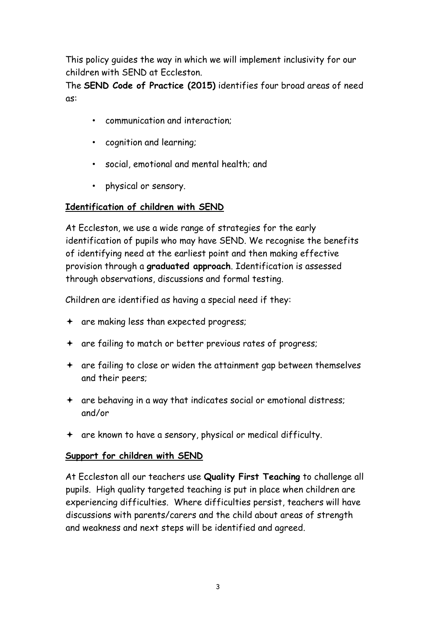This policy guides the way in which we will implement inclusivity for our children with SEND at Eccleston.

The **SEND Code of Practice (2015)** identifies four broad areas of need as:

- communication and interaction;
- cognition and learning;
- social, emotional and mental health; and
- physical or sensory.

## **Identification of children with SEND**

At Eccleston, we use a wide range of strategies for the early identification of pupils who may have SEND. We recognise the benefits of identifying need at the earliest point and then making effective provision through a **graduated approach**. Identification is assessed through observations, discussions and formal testing.

Children are identified as having a special need if they:

- are making less than expected progress;
- are failing to match or better previous rates of progress;
- are failing to close or widen the attainment gap between themselves and their peers;
- are behaving in a way that indicates social or emotional distress; and/or
- are known to have a sensory, physical or medical difficulty.

#### **Support for children with SEND**

At Eccleston all our teachers use **Quality First Teaching** to challenge all pupils. High quality targeted teaching is put in place when children are experiencing difficulties. Where difficulties persist, teachers will have discussions with parents/carers and the child about areas of strength and weakness and next steps will be identified and agreed.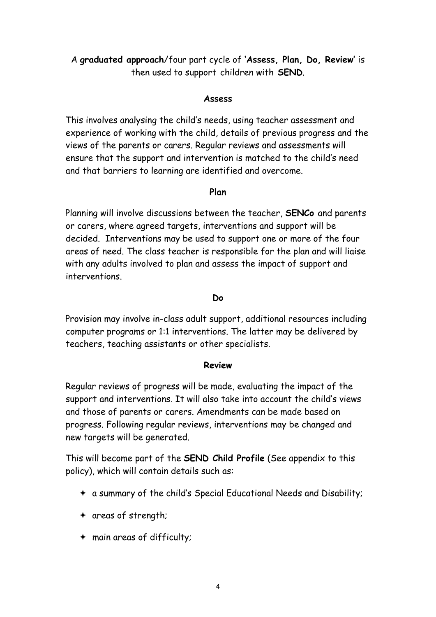A **graduated approach**/four part cycle of **'Assess, Plan, Do, Review'** is then used to support children with **SEND**.

#### **Assess**

This involves analysing the child's needs, using teacher assessment and experience of working with the child, details of previous progress and the views of the parents or carers. Regular reviews and assessments will ensure that the support and intervention is matched to the child's need and that barriers to learning are identified and overcome.

#### **Plan**

Planning will involve discussions between the teacher, **SENCo** and parents or carers, where agreed targets, interventions and support will be decided. Interventions may be used to support one or more of the four areas of need. The class teacher is responsible for the plan and will liaise with any adults involved to plan and assess the impact of support and interventions.

#### **Do**

Provision may involve in-class adult support, additional resources including computer programs or 1:1 interventions. The latter may be delivered by teachers, teaching assistants or other specialists.

#### **Review**

Regular reviews of progress will be made, evaluating the impact of the support and interventions. It will also take into account the child's views and those of parents or carers. Amendments can be made based on progress. Following regular reviews, interventions may be changed and new targets will be generated.

This will become part of the **SEND Child Profile** (See appendix to this policy), which will contain details such as:

- a summary of the child's Special Educational Needs and Disability;
- areas of strength;
- main areas of difficulty;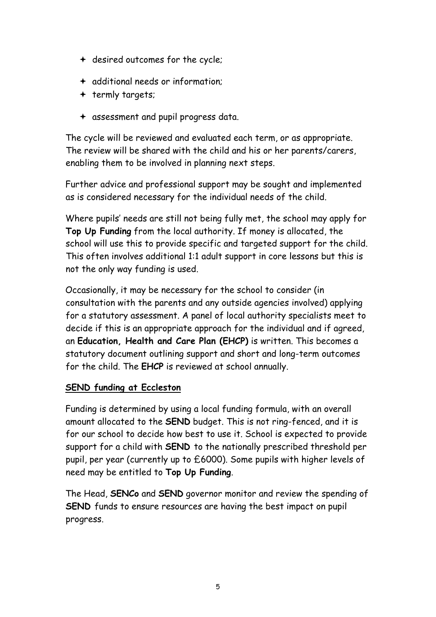- + desired outcomes for the cycle;
- additional needs or information;
- $+$  termly targets;
- assessment and pupil progress data.

The cycle will be reviewed and evaluated each term, or as appropriate. The review will be shared with the child and his or her parents/carers, enabling them to be involved in planning next steps.

Further advice and professional support may be sought and implemented as is considered necessary for the individual needs of the child.

Where pupils' needs are still not being fully met, the school may apply for **Top Up Funding** from the local authority. If money is allocated, the school will use this to provide specific and targeted support for the child. This often involves additional 1:1 adult support in core lessons but this is not the only way funding is used.

Occasionally, it may be necessary for the school to consider (in consultation with the parents and any outside agencies involved) applying for a statutory assessment. A panel of local authority specialists meet to decide if this is an appropriate approach for the individual and if agreed, an **Education, Health and Care Plan (EHCP)** is written. This becomes a statutory document outlining support and short and long-term outcomes for the child. The **EHCP** is reviewed at school annually.

## **SEND funding at Eccleston**

Funding is determined by using a local funding formula, with an overall amount allocated to the **SEND** budget. This is not ring-fenced, and it is for our school to decide how best to use it. School is expected to provide support for a child with **SEND** to the nationally prescribed threshold per pupil, per year (currently up to £6000). Some pupils with higher levels of need may be entitled to **Top Up Funding**.

The Head, **SENCo** and **SEND** governor monitor and review the spending of **SEND** funds to ensure resources are having the best impact on pupil progress.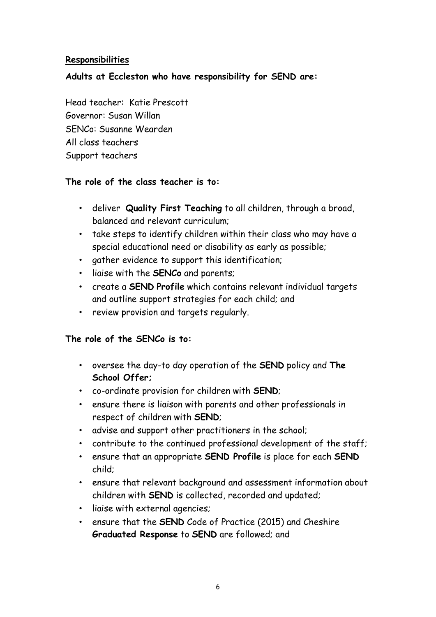#### **Responsibilities**

#### **Adults at Eccleston who have responsibility for SEND are:**

Head teacher: Katie Prescott Governor: Susan Willan SENCo: Susanne Wearden All class teachers Support teachers

#### **The role of the class teacher is to:**

- deliver **Quality First Teaching** to all children, through a broad, balanced and relevant curriculum;
- take steps to identify children within their class who may have a special educational need or disability as early as possible;
- gather evidence to support this identification;
- liaise with the **SENCo** and parents;
- create a **SEND Profile** which contains relevant individual targets and outline support strategies for each child; and
- review provision and targets regularly.

#### **The role of the SENCo is to:**

- oversee the day-to day operation of the **SEND** policy and **The School Offer;**
- co-ordinate provision for children with **SEND**;
- ensure there is liaison with parents and other professionals in respect of children with **SEND**;
- advise and support other practitioners in the school;
- contribute to the continued professional development of the staff;
- ensure that an appropriate **SEND Profile** is place for each **SEND**  child;
- ensure that relevant background and assessment information about children with **SEND** is collected, recorded and updated;
- liaise with external agencies;
- ensure that the **SEND** Code of Practice (2015) and Cheshire **Graduated Response** to **SEND** are followed; and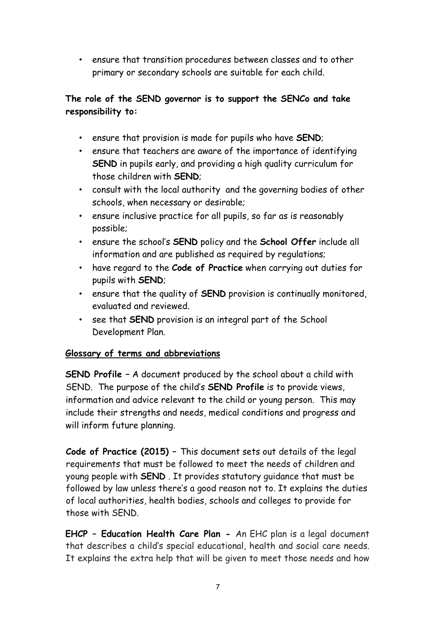• ensure that transition procedures between classes and to other primary or secondary schools are suitable for each child.

## **The role of the SEND governor is to support the SENCo and take responsibility to:**

- ensure that provision is made for pupils who have **SEND**;
- ensure that teachers are aware of the importance of identifying **SEND** in pupils early, and providing a high quality curriculum for those children with **SEND**;
- consult with the local authority and the governing bodies of other schools, when necessary or desirable;
- ensure inclusive practice for all pupils, so far as is reasonably possible;
- ensure the school's **SEND** policy and the **School Offer** include all information and are published as required by regulations;
- have regard to the **Code of Practice** when carrying out duties for pupils with **SEND**;
- ensure that the quality of **SEND** provision is continually monitored, evaluated and reviewed.
- see that **SEND** provision is an integral part of the School Development Plan.

## **Glossary of terms and abbreviations**

**SEND Profile –** A document produced by the school about a child with SEND. The purpose of the child's **SEND Profile** is to provide views, information and advice relevant to the child or young person. This may include their strengths and needs, medical conditions and progress and will inform future planning.

**Code of Practice (2015) –** This document sets out details of the legal requirements that must be followed to meet the needs of children and young people with **SEND** . It provides statutory guidance that must be followed by law unless there's a good reason not to. It explains the duties of local authorities, health bodies, schools and colleges to provide for those with SEND.

**EHCP – Education Health Care Plan -** An EHC plan is a legal document that describes a child's special educational, health and social care needs. It explains the extra help that will be given to meet those needs and how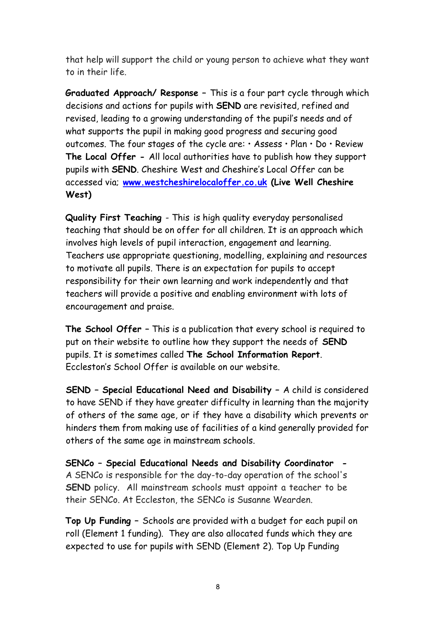that help will support the child or young person to achieve what they want to in their life.

**Graduated Approach/ Response –** This is a four part cycle through which decisions and actions for pupils with **SEND** are revisited, refined and revised, leading to a growing understanding of the pupil's needs and of what supports the pupil in making good progress and securing good outcomes. The four stages of the cycle are: • Assess • Plan • Do • Review **The Local Offer -** All local authorities have to publish how they support pupils with **SEND**. Cheshire West and Cheshire's Local Offer can be accessed via[;](http://www.westcheshirelocaloffer.co.uk/) **[www.westcheshirelocaloffer.co.uk](http://www.westcheshirelocaloffer.co.uk/) [\(](http://www.westcheshirelocaloffer.co.uk/)Live Well Cheshire West)** 

**Quality First Teaching** - This is high quality everyday personalised teaching that should be on offer for all children. It is an approach which involves high levels of pupil interaction, engagement and learning. Teachers use appropriate questioning, modelling, explaining and resources to motivate all pupils. There is an expectation for pupils to accept responsibility for their own learning and work independently and that teachers will provide a positive and enabling environment with lots of encouragement and praise.

**The School Offer –** This is a publication that every school is required to put on their website to outline how they support the needs of **SEND** pupils. It is sometimes called **The School Information Report**. Eccleston's School Offer is available on our website.

**SEND – Special Educational Need and Disability –** A child is considered to have SEND if they have greater difficulty in learning than the majority of others of the same age, or if they have a disability which prevents or hinders them from making use of facilities of a kind generally provided for others of the same age in mainstream schools.

**SENCo – Special Educational Needs and Disability Coordinator -** A SENCo is responsible for the day-to-day operation of the school's **SEND** policy. All mainstream schools must appoint a teacher to be their SENCo. At Eccleston, the SENCo is Susanne Wearden.

**Top Up Funding –** Schools are provided with a budget for each pupil on roll (Element 1 funding). They are also allocated funds which they are expected to use for pupils with SEND (Element 2). Top Up Funding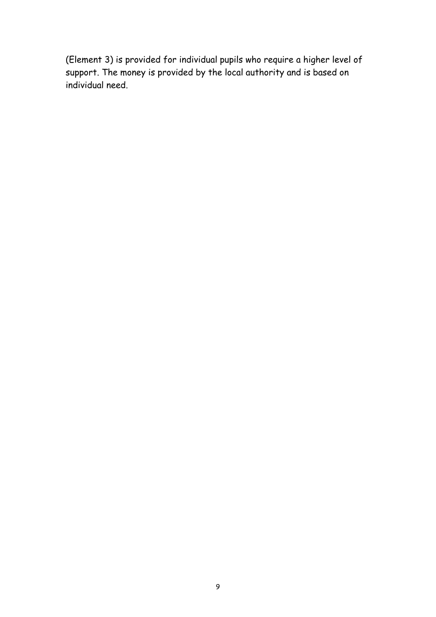(Element 3) is provided for individual pupils who require a higher level of support. The money is provided by the local authority and is based on individual need.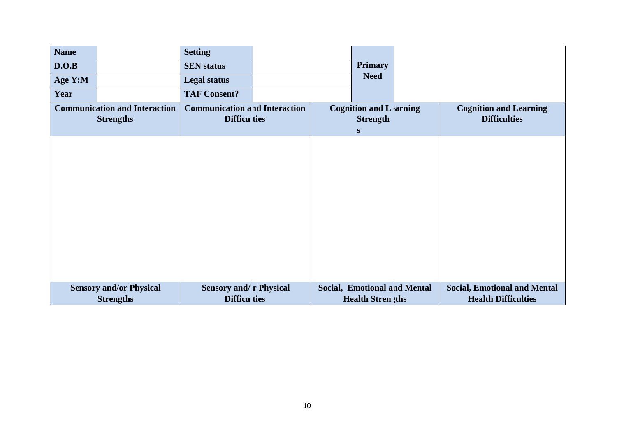| <b>Name</b> |                                                          | <b>Setting</b>                                              |  |                                                                |                                                                   |
|-------------|----------------------------------------------------------|-------------------------------------------------------------|--|----------------------------------------------------------------|-------------------------------------------------------------------|
| D.O.B       |                                                          | <b>SEN</b> status                                           |  | <b>Primary</b>                                                 |                                                                   |
| Age Y:M     |                                                          | <b>Legal status</b>                                         |  | <b>Need</b>                                                    |                                                                   |
| Year        |                                                          | <b>TAF Consent?</b>                                         |  |                                                                |                                                                   |
|             | <b>Communication and Interaction</b><br><b>Strengths</b> | <b>Communication and Interaction</b><br><b>Difficu ties</b> |  | <b>Cognition and Lanning</b><br><b>Strength</b><br>S           | <b>Cognition and Learning</b><br><b>Difficulties</b>              |
|             |                                                          |                                                             |  |                                                                |                                                                   |
|             |                                                          |                                                             |  |                                                                |                                                                   |
|             |                                                          |                                                             |  |                                                                |                                                                   |
|             |                                                          |                                                             |  |                                                                |                                                                   |
|             |                                                          |                                                             |  |                                                                |                                                                   |
|             |                                                          |                                                             |  |                                                                |                                                                   |
|             |                                                          |                                                             |  |                                                                |                                                                   |
|             |                                                          |                                                             |  |                                                                |                                                                   |
|             |                                                          |                                                             |  |                                                                |                                                                   |
|             | <b>Sensory and/or Physical</b><br><b>Strengths</b>       | <b>Sensory and/ r Physical</b><br><b>Difficu ties</b>       |  | <b>Social, Emotional and Mental</b><br><b>Health Stren ths</b> | <b>Social, Emotional and Mental</b><br><b>Health Difficulties</b> |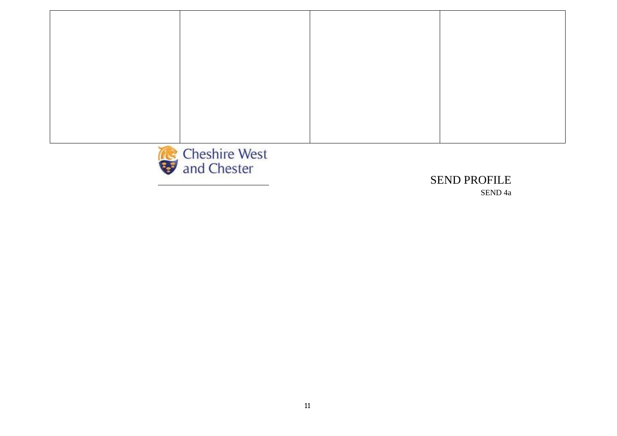

SEND 4a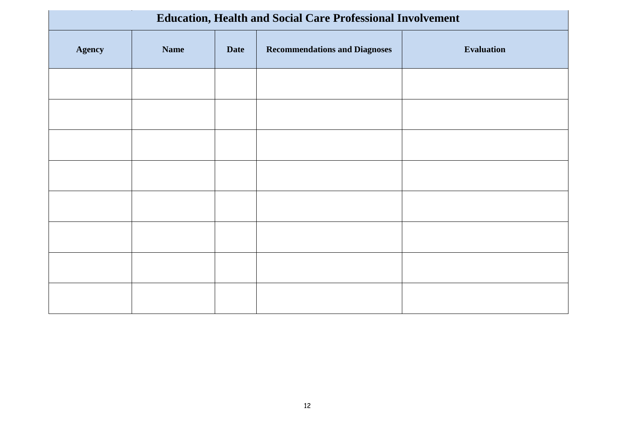|               | <b>Education, Health and Social Care Professional Involvement</b> |             |                                      |                   |  |  |  |
|---------------|-------------------------------------------------------------------|-------------|--------------------------------------|-------------------|--|--|--|
| <b>Agency</b> | <b>Name</b>                                                       | <b>Date</b> | <b>Recommendations and Diagnoses</b> | <b>Evaluation</b> |  |  |  |
|               |                                                                   |             |                                      |                   |  |  |  |
|               |                                                                   |             |                                      |                   |  |  |  |
|               |                                                                   |             |                                      |                   |  |  |  |
|               |                                                                   |             |                                      |                   |  |  |  |
|               |                                                                   |             |                                      |                   |  |  |  |
|               |                                                                   |             |                                      |                   |  |  |  |
|               |                                                                   |             |                                      |                   |  |  |  |
|               |                                                                   |             |                                      |                   |  |  |  |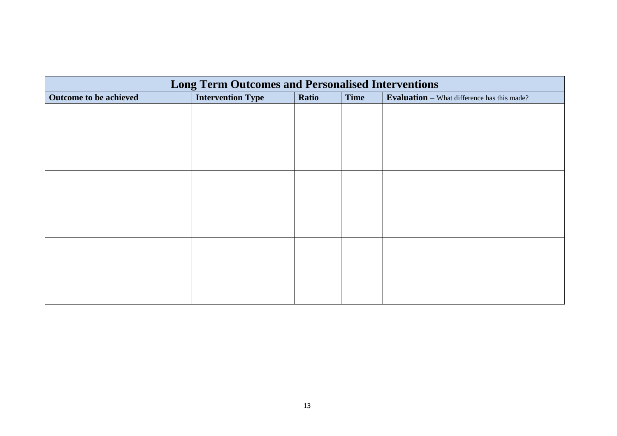|                        | <b>Long Term Outcomes and Personalised Interventions</b> |       |             |                                                    |  |  |  |
|------------------------|----------------------------------------------------------|-------|-------------|----------------------------------------------------|--|--|--|
| Outcome to be achieved | <b>Intervention Type</b>                                 | Ratio | <b>Time</b> | <b>Evaluation - What difference has this made?</b> |  |  |  |
|                        |                                                          |       |             |                                                    |  |  |  |
|                        |                                                          |       |             |                                                    |  |  |  |
|                        |                                                          |       |             |                                                    |  |  |  |
|                        |                                                          |       |             |                                                    |  |  |  |
|                        |                                                          |       |             |                                                    |  |  |  |
|                        |                                                          |       |             |                                                    |  |  |  |
|                        |                                                          |       |             |                                                    |  |  |  |
|                        |                                                          |       |             |                                                    |  |  |  |
|                        |                                                          |       |             |                                                    |  |  |  |
|                        |                                                          |       |             |                                                    |  |  |  |
|                        |                                                          |       |             |                                                    |  |  |  |
|                        |                                                          |       |             |                                                    |  |  |  |
|                        |                                                          |       |             |                                                    |  |  |  |
|                        |                                                          |       |             |                                                    |  |  |  |
|                        |                                                          |       |             |                                                    |  |  |  |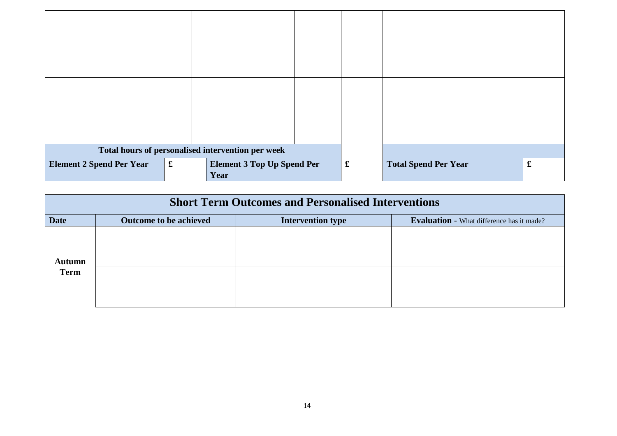| Total hours of personalised intervention per week |             |                                           |  |                      |                             |             |
|---------------------------------------------------|-------------|-------------------------------------------|--|----------------------|-----------------------------|-------------|
| <b>Element 2 Spend Per Year</b>                   | $\mathbf f$ | <b>Element 3 Top Up Spend Per</b><br>Year |  | $\pmb{\mathfrak{L}}$ | <b>Total Spend Per Year</b> | $\mathbf f$ |

|             | <b>Short Term Outcomes and Personalised Interventions</b> |                          |                                                  |  |  |  |  |
|-------------|-----------------------------------------------------------|--------------------------|--------------------------------------------------|--|--|--|--|
| <b>Date</b> | Outcome to be achieved                                    | <b>Intervention type</b> | <b>Evaluation - What difference has it made?</b> |  |  |  |  |
| Autumn      |                                                           |                          |                                                  |  |  |  |  |
| <b>Term</b> |                                                           |                          |                                                  |  |  |  |  |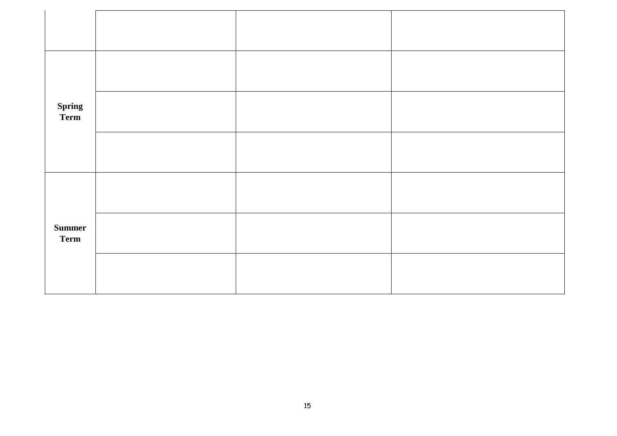| <b>Spring<br/>Term</b>       |  |  |
|------------------------------|--|--|
|                              |  |  |
|                              |  |  |
| <b>Summer</b><br><b>Term</b> |  |  |
|                              |  |  |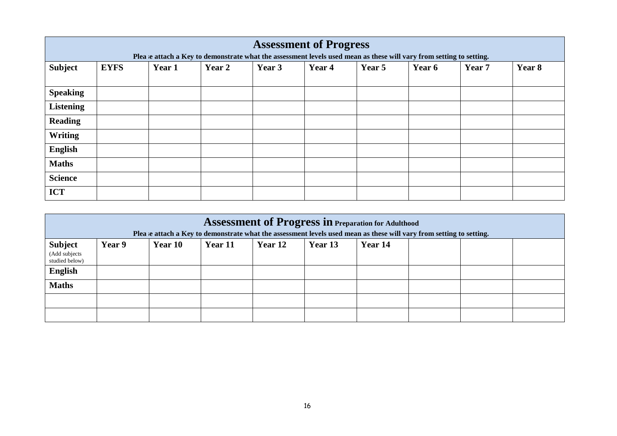|                  |             |        | Plea ie attach a Key to demonstrate what the assessment levels used mean as these will vary from setting to setting. | <b>Assessment of Progress</b> |        |        |        |        |        |
|------------------|-------------|--------|----------------------------------------------------------------------------------------------------------------------|-------------------------------|--------|--------|--------|--------|--------|
| <b>Subject</b>   | <b>EYFS</b> | Year 1 | Year 2                                                                                                               | Year 3                        | Year 4 | Year 5 | Year 6 | Year 7 | Year 8 |
| <b>Speaking</b>  |             |        |                                                                                                                      |                               |        |        |        |        |        |
| <b>Listening</b> |             |        |                                                                                                                      |                               |        |        |        |        |        |
| <b>Reading</b>   |             |        |                                                                                                                      |                               |        |        |        |        |        |
| <b>Writing</b>   |             |        |                                                                                                                      |                               |        |        |        |        |        |
| <b>English</b>   |             |        |                                                                                                                      |                               |        |        |        |        |        |
| <b>Maths</b>     |             |        |                                                                                                                      |                               |        |        |        |        |        |
| <b>Science</b>   |             |        |                                                                                                                      |                               |        |        |        |        |        |
| <b>ICT</b>       |             |        |                                                                                                                      |                               |        |        |        |        |        |

|                                 | <b>Assessment of Progress in Preparation for Adulthood</b><br>Plea e attach a Key to demonstrate what the assessment levels used mean as these will vary from setting to setting. |         |         |         |         |         |  |  |
|---------------------------------|-----------------------------------------------------------------------------------------------------------------------------------------------------------------------------------|---------|---------|---------|---------|---------|--|--|
| <b>Subject</b>                  | Year 9                                                                                                                                                                            | Year 10 | Year 11 | Year 12 | Year 13 | Year 14 |  |  |
| (Add subjects<br>studied below) |                                                                                                                                                                                   |         |         |         |         |         |  |  |
| <b>English</b>                  |                                                                                                                                                                                   |         |         |         |         |         |  |  |
| <b>Maths</b>                    |                                                                                                                                                                                   |         |         |         |         |         |  |  |
|                                 |                                                                                                                                                                                   |         |         |         |         |         |  |  |
|                                 |                                                                                                                                                                                   |         |         |         |         |         |  |  |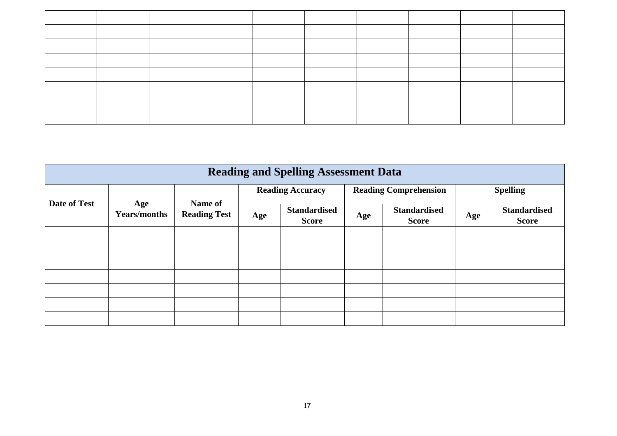|              | <b>Reading and Spelling Assessment Data</b> |                     |     |                                     |     |                                     |     |                                     |  |
|--------------|---------------------------------------------|---------------------|-----|-------------------------------------|-----|-------------------------------------|-----|-------------------------------------|--|
|              |                                             | Name of             |     | <b>Reading Accuracy</b>             |     | <b>Reading Comprehension</b>        |     | <b>Spelling</b>                     |  |
| Date of Test | Age<br><b>Years/months</b>                  | <b>Reading Test</b> | Age | <b>Standardised</b><br><b>Score</b> | Age | <b>Standardised</b><br><b>Score</b> | Age | <b>Standardised</b><br><b>Score</b> |  |
|              |                                             |                     |     |                                     |     |                                     |     |                                     |  |
|              |                                             |                     |     |                                     |     |                                     |     |                                     |  |
|              |                                             |                     |     |                                     |     |                                     |     |                                     |  |
|              |                                             |                     |     |                                     |     |                                     |     |                                     |  |
|              |                                             |                     |     |                                     |     |                                     |     |                                     |  |
|              |                                             |                     |     |                                     |     |                                     |     |                                     |  |
|              |                                             |                     |     |                                     |     |                                     |     |                                     |  |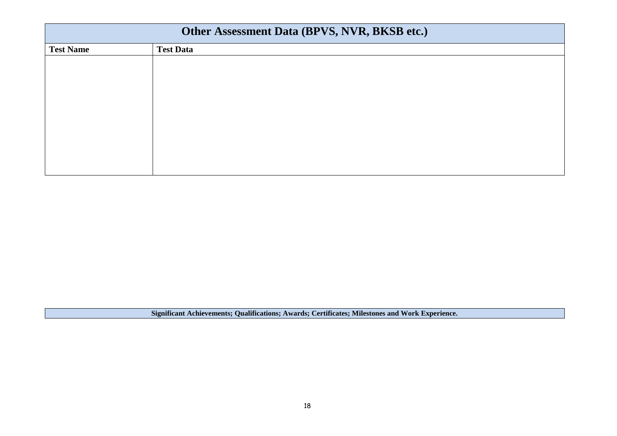| Other Assessment Data (BPVS, NVR, BKSB etc.) |
|----------------------------------------------|
| <b>Test Data</b>                             |
|                                              |
|                                              |
|                                              |
|                                              |
|                                              |
|                                              |
|                                              |
|                                              |
|                                              |
|                                              |

**Significant Achievements; Qualifications; Awards; Certificates; Milestones and Work Experience.**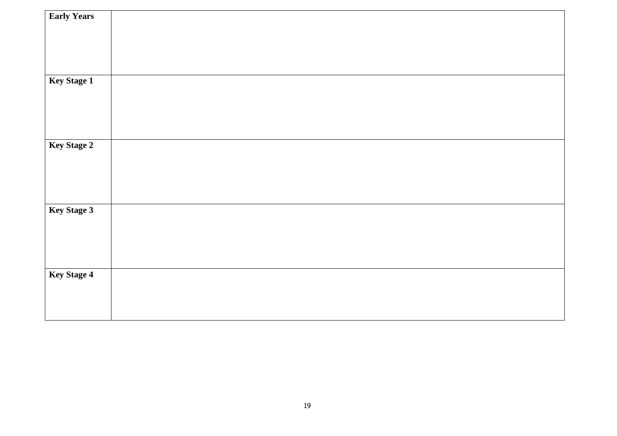| <b>Early Years</b> |  |  |
|--------------------|--|--|
|                    |  |  |
|                    |  |  |
|                    |  |  |
| Key Stage 1        |  |  |
|                    |  |  |
|                    |  |  |
|                    |  |  |
| Key Stage 2        |  |  |
|                    |  |  |
|                    |  |  |
|                    |  |  |
| Key Stage 3        |  |  |
|                    |  |  |
|                    |  |  |
|                    |  |  |
| Key Stage 4        |  |  |
|                    |  |  |
|                    |  |  |
|                    |  |  |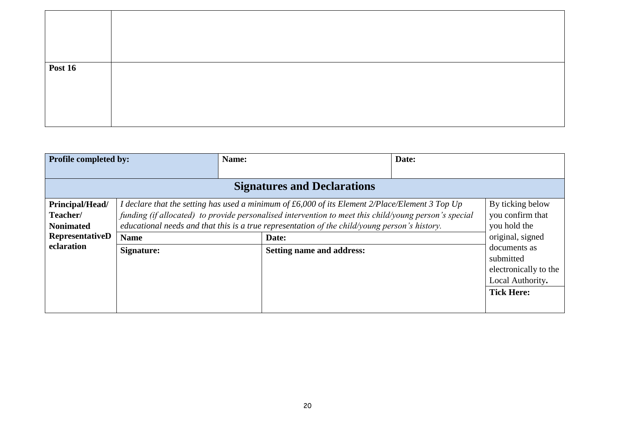| <b>Post 16</b> |  |
|----------------|--|
|                |  |

| <b>Profile completed by:</b>       |                                                                                               | Name:                                                                                                    | Date: |                       |  |  |  |  |
|------------------------------------|-----------------------------------------------------------------------------------------------|----------------------------------------------------------------------------------------------------------|-------|-----------------------|--|--|--|--|
|                                    |                                                                                               |                                                                                                          |       |                       |  |  |  |  |
| <b>Signatures and Declarations</b> |                                                                                               |                                                                                                          |       |                       |  |  |  |  |
| Principal/Head/                    |                                                                                               | I declare that the setting has used a minimum of $\pounds 6,000$ of its Element 2/Place/Element 3 Top Up |       | By ticking below      |  |  |  |  |
| Teacher/                           |                                                                                               | funding (if allocated) to provide personalised intervention to meet this child/young person's special    |       | you confirm that      |  |  |  |  |
| <b>Nonimated</b>                   | educational needs and that this is a true representation of the child/young person's history. | you hold the                                                                                             |       |                       |  |  |  |  |
| RepresentativeD                    | <b>Name</b>                                                                                   | Date:                                                                                                    |       | original, signed      |  |  |  |  |
| eclaration                         | Signature:                                                                                    | <b>Setting name and address:</b>                                                                         |       | documents as          |  |  |  |  |
|                                    |                                                                                               |                                                                                                          |       | submitted             |  |  |  |  |
|                                    |                                                                                               |                                                                                                          |       | electronically to the |  |  |  |  |
|                                    |                                                                                               |                                                                                                          |       | Local Authority.      |  |  |  |  |
|                                    |                                                                                               |                                                                                                          |       | <b>Tick Here:</b>     |  |  |  |  |
|                                    |                                                                                               |                                                                                                          |       |                       |  |  |  |  |